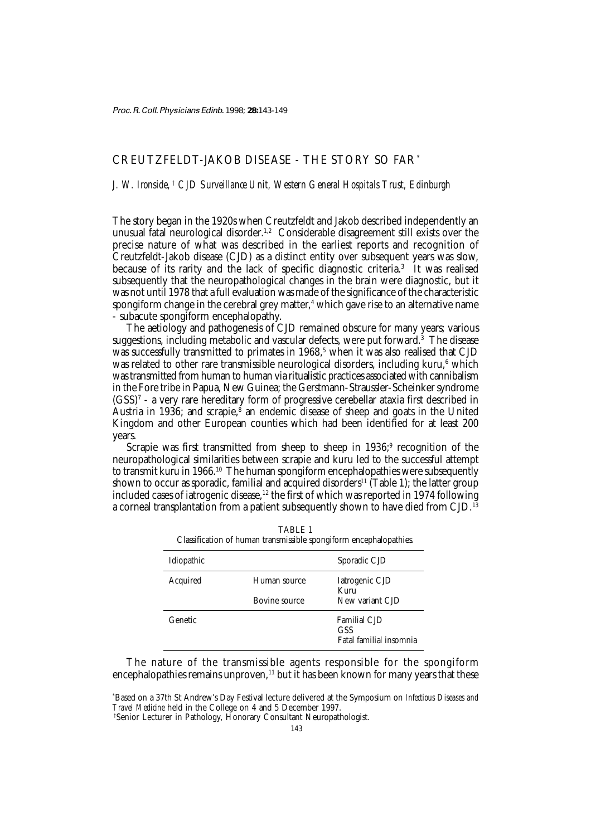# CREUTZFELDT-JAKOB DISEASE - THE STORY SO FAR\*

# *J. W. Ironside,* †  *CJD Surveillance Unit, Western General Hospitals Trust, Edinburgh*

The story began in the 1920s when Creutzfeldt and Jakob described independently an unusual fatal neurological disorder.<sup>1,2</sup> Considerable disagreement still exists over the precise nature of what was described in the earliest reports and recognition of Creutzfeldt-Jakob disease (CJD) as a distinct entity over subsequent years was slow, because of its rarity and the lack of specific diagnostic criteria.3 It was realised subsequently that the neuropathological changes in the brain were diagnostic, but it was not until 1978 that a full evaluation was made of the significance of the characteristic spongiform change in the cerebral grey matter,<sup>4</sup> which gave rise to an alternative name - subacute spongiform encephalopathy.

The aetiology and pathogenesis of CJD remained obscure for many years; various suggestions, including metabolic and vascular defects, were put forward.3 The disease was successfully transmitted to primates in 1968,<sup>5</sup> when it was also realised that CJD was related to other rare transmissible neurological disorders, including kuru,<sup>6</sup> which was transmitted from human to human via ritualistic practices associated with cannibalism in the Fore tribe in Papua, New Guinea; the Gerstmann-Straussler-Scheinker syndrome (GSS)7 - a very rare hereditary form of progressive cerebellar ataxia first described in Austria in 1936; and scrapie,<sup>8</sup> an endemic disease of sheep and goats in the United Kingdom and other European counties which had been identified for at least 200 years.

Scrapie was first transmitted from sheep to sheep in 1936;<sup>9</sup> recognition of the neuropathological similarities between scrapie and kuru led to the successful attempt to transmit kuru in 1966.<sup>10</sup> The human spongiform encephalopathies were subsequently shown to occur as sporadic, familial and acquired disorders<sup>11</sup> (Table 1); the latter group included cases of iatrogenic disease,<sup>12</sup> the first of which was reported in 1974 following a corneal transplantation from a patient subsequently shown to have died from CJD.<sup>13</sup>

| Idiopathic |               | Sporadic CJD                                          |
|------------|---------------|-------------------------------------------------------|
| Acquired   | Human source  | Iatrogenic CJD<br>Kuru                                |
|            | Bovine source | New variant CJD                                       |
| Genetic    |               | <b>Familial CJD</b><br>GSS<br>Fatal familial insomnia |

TABLE 1 Classification of human transmissible spongiform encephalopathies.

The nature of the transmissible agents responsible for the spongiform encephalopathies remains unproven, $11$  but it has been known for many years that these

† Senior Lecturer in Pathology, Honorary Consultant Neuropathologist.

<sup>\*</sup> Based on a 37th St Andrew's Day Festival lecture delivered at the Symposium on *Infectious Diseases and Travel Medicine* held in the College on 4 and 5 December 1997.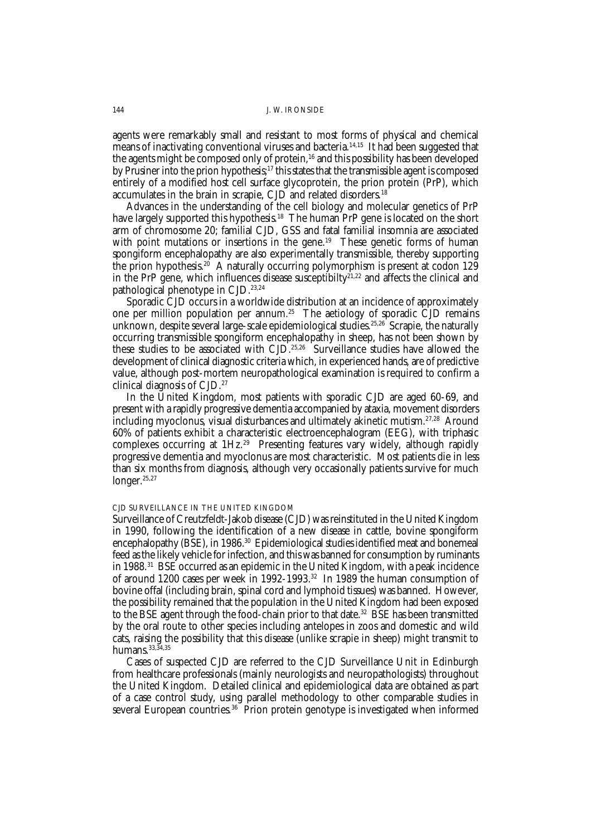#### 144 J. W. IRONSIDE

agents were remarkably small and resistant to most forms of physical and chemical means of inactivating conventional viruses and bacteria.<sup>14,15</sup> It had been suggested that the agents might be composed only of protein,<sup>16</sup> and this possibility has been developed by Prusiner into the prion hypothesis;<sup>17</sup> this states that the transmissible agent is composed entirely of a modified host cell surface glycoprotein, the prion protein (PrP), which accumulates in the brain in scrapie, CJD and related disorders.18

Advances in the understanding of the cell biology and molecular genetics of PrP have largely supported this hypothesis.<sup>18</sup> The human PrP gene is located on the short arm of chromosome 20; familial CJD, GSS and fatal familial insomnia are associated with point mutations or insertions in the gene.<sup>19</sup> These genetic forms of human spongiform encephalopathy are also experimentally transmissible, thereby supporting the prion hypothesis.<sup>20</sup> A naturally occurring polymorphism is present at codon 129 in the PrP gene, which influences disease susceptibilty<sup>21,22</sup> and affects the clinical and pathological phenotype in CJD.<sup>23,24</sup>

Sporadic CJD occurs in a worldwide distribution at an incidence of approximately one per million population per annum.<sup>25</sup> The aetiology of sporadic CJD remains unknown, despite several large-scale epidemiological studies.<sup>25,26</sup> Scrapie, the naturally occurring transmissible spongiform encephalopathy in sheep, has not been shown by these studies to be associated with CJD.<sup>25,26</sup> Surveillance studies have allowed the development of clinical diagnostic criteria which, in experienced hands, are of predictive value, although post-mortem neuropathological examination is required to confirm a clinical diagnosis of CJD.27

In the United Kingdom, most patients with sporadic CJD are aged 60-69, and present with a rapidly progressive dementia accompanied by ataxia, movement disorders including myoclonus, visual disturbances and ultimately akinetic mutism.27,28 Around 60% of patients exhibit a characteristic electroencephalogram (EEG), with triphasic complexes occurring at 1Hz.29 Presenting features vary widely, although rapidly progressive dementia and myoclonus are most characteristic. Most patients die in less than six months from diagnosis, although very occasionally patients survive for much longer.<sup>25,27</sup>

## CJD SURVEILLANCE IN THE UNITED KINGDOM

Surveillance of Creutzfeldt-Jakob disease (CJD) was reinstituted in the United Kingdom in 1990, following the identification of a new disease in cattle, bovine spongiform encephalopathy (BSE), in 1986.<sup>30</sup> Epidemiological studies identified meat and bonemeal feed as the likely vehicle for infection, and this was banned for consumption by ruminants in 1988.31 BSE occurred as an epidemic in the United Kingdom, with a peak incidence of around 1200 cases per week in 1992-1993.32 In 1989 the human consumption of bovine offal (including brain, spinal cord and lymphoid tissues) was banned. However, the possibility remained that the population in the United Kingdom had been exposed to the BSE agent through the food-chain prior to that date.<sup>32</sup> BSE has been transmitted by the oral route to other species including antelopes in zoos and domestic and wild cats, raising the possibility that this disease (unlike scrapie in sheep) might transmit to humans. 33, 34, 35

Cases of suspected CJD are referred to the CJD Surveillance Unit in Edinburgh from healthcare professionals (mainly neurologists and neuropathologists) throughout the United Kingdom. Detailed clinical and epidemiological data are obtained as part of a case control study, using parallel methodology to other comparable studies in several European countries.<sup>36</sup> Prion protein genotype is investigated when informed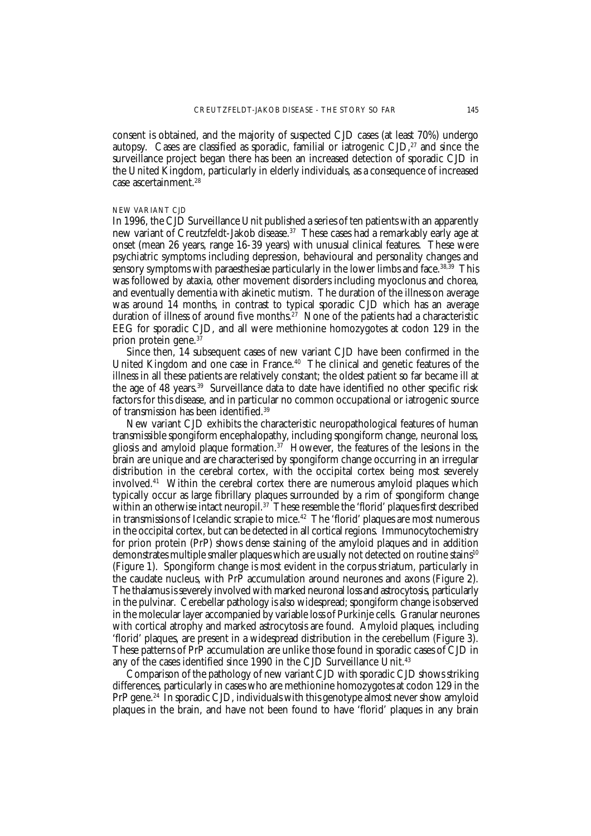consent is obtained, and the majority of suspected CJD cases (at least 70%) undergo autopsy. Cases are classified as sporadic, familial or iatrogenic  $\text{CID}$ ,  $^{27}$  and since the surveillance project began there has been an increased detection of sporadic CJD in the United Kingdom, particularly in elderly individuals, as a consequence of increased case ascertainment.<sup>28</sup>

#### NEW VARIANT CJD

In 1996, the CJD Surveillance Unit published a series of ten patients with an apparently new variant of Creutzfeldt-Jakob disease.<sup>37</sup> These cases had a remarkably early age at onset (mean 26 years, range 16-39 years) with unusual clinical features. These were psychiatric symptoms including depression, behavioural and personality changes and sensory symptoms with paraesthesiae particularly in the lower limbs and face.<sup>38,39</sup> This was followed by ataxia, other movement disorders including myoclonus and chorea, and eventually dementia with akinetic mutism. The duration of the illness on average was around 14 months, in contrast to typical sporadic CJD which has an average duration of illness of around five months.<sup>27</sup> None of the patients had a characteristic EEG for sporadic CJD, and all were methionine homozygotes at codon 129 in the prion protein gene.37

Since then, 14 subsequent cases of new variant CJD have been confirmed in the United Kingdom and one case in France.<sup>40</sup> The clinical and genetic features of the illness in all these patients are relatively constant; the oldest patient so far became ill at the age of 48 years.39 Surveillance data to date have identified no other specific risk factors for this disease, and in particular no common occupational or iatrogenic source of transmission has been identified.39

New variant CJD exhibits the characteristic neuropathological features of human transmissible spongiform encephalopathy, including spongiform change, neuronal loss, gliosis and amyloid plaque formation.<sup>37</sup> However, the features of the lesions in the brain are unique and are characterised by spongiform change occurring in an irregular distribution in the cerebral cortex, with the occipital cortex being most severely involved.<sup>41</sup> Within the cerebral cortex there are numerous amyloid plaques which typically occur as large fibrillary plaques surrounded by a rim of spongiform change within an otherwise intact neuropil.<sup>37</sup> These resemble the 'florid' plaques first described in transmissions of Icelandic scrapie to mice.<sup>42</sup> The 'florid' plaques are most numerous in the occipital cortex, but can be detected in all cortical regions. Immunocytochemistry for prion protein (PrP) shows dense staining of the amyloid plaques and in addition demonstrates multiple smaller plaques which are usually not detected on routine stains<sup>10</sup> (Figure 1). Spongiform change is most evident in the corpus striatum, particularly in the caudate nucleus, with PrP accumulation around neurones and axons (Figure 2). The thalamus is severely involved with marked neuronal loss and astrocytosis, particularly in the pulvinar. Cerebellar pathology is also widespread; spongiform change is observed in the molecular layer accompanied by variable loss of Purkinje cells. Granular neurones with cortical atrophy and marked astrocytosis are found. Amyloid plaques, including 'florid' plaques, are present in a widespread distribution in the cerebellum (Figure 3). These patterns of PrP accumulation are unlike those found in sporadic cases of CJD in any of the cases identified since 1990 in the CJD Surveillance Unit.<sup>43</sup>

Comparison of the pathology of new variant CJD with sporadic CJD shows striking differences, particularly in cases who are methionine homozygotes at codon 129 in the PrP gene.<sup>24</sup> In sporadic CJD, individuals with this genotype almost never show amyloid plaques in the brain, and have not been found to have 'florid' plaques in any brain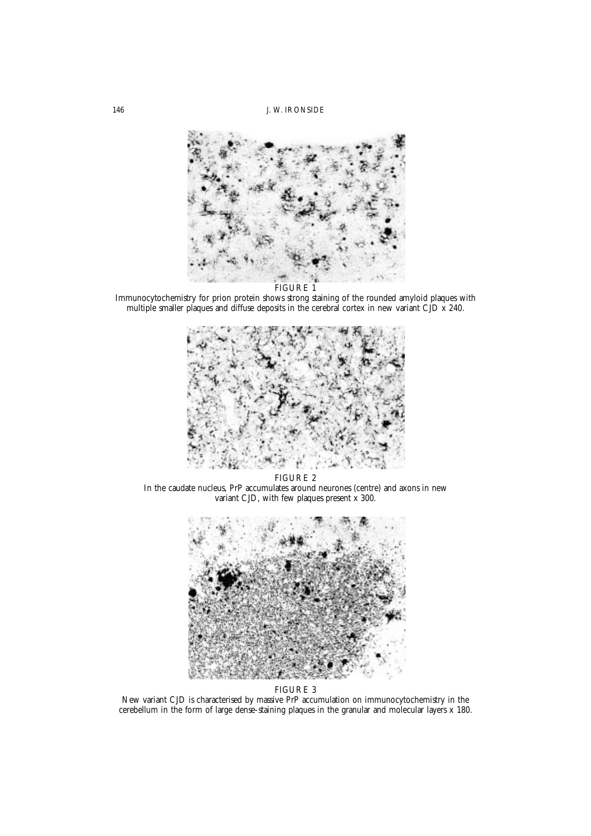146 J. W. IRONSIDE



Immunocytochemistry for prion protein shows strong staining of the rounded amyloid plaques with multiple smaller plaques and diffuse deposits in the cerebral cortex in new variant CJD x 240.



FIGURE 2 In the caudate nucleus, PrP accumulates around neurones (centre) and axons in new variant CJD, with few plaques present x 300.



FIGURE 3

New variant CJD is characterised by massive PrP accumulation on immunocytochemistry in the cerebellum in the form of large dense-staining plaques in the granular and molecular layers x 180.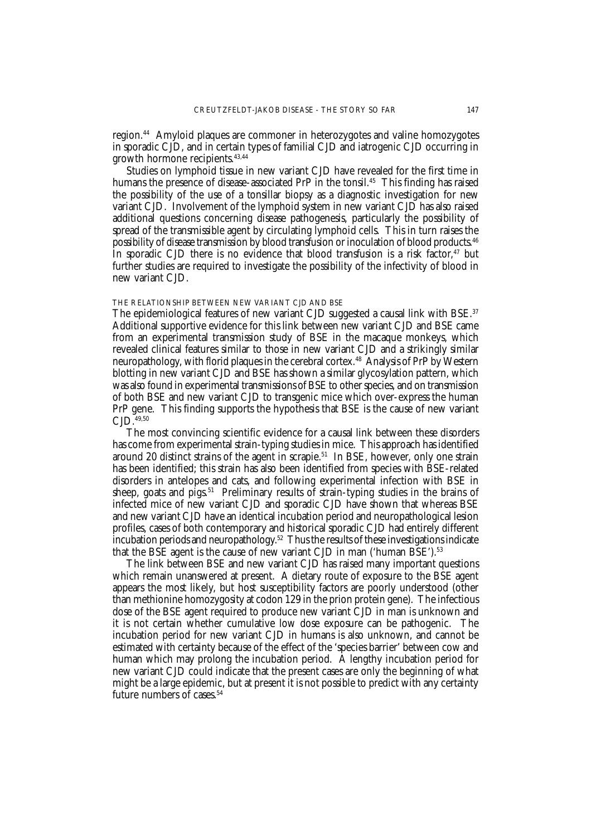region.<sup>44</sup> Amyloid plaques are commoner in heterozygotes and valine homozygotes in sporadic CJD, and in certain types of familial CJD and iatrogenic CJD occurring in growth hormone recipients.43,44

Studies on lymphoid tissue in new variant CJD have revealed for the first time in humans the presence of disease-associated PrP in the tonsil.<sup>45</sup> This finding has raised the possibility of the use of a tonsillar biopsy as a diagnostic investigation for new variant CJD. Involvement of the lymphoid system in new variant CJD has also raised additional questions concerning disease pathogenesis, particularly the possibility of spread of the transmissible agent by circulating lymphoid cells. This in turn raises the possibility of disease transmission by blood transfusion or inoculation of blood products.46 In sporadic CJD there is no evidence that blood transfusion is a risk factor, $47$  but further studies are required to investigate the possibility of the infectivity of blood in new variant CJD.

#### THE RELATIONSHIP BETWEEN NEW VARIANT CJD AND BSE

The epidemiological features of new variant CJD suggested a causal link with BSE.<sup>37</sup> Additional supportive evidence for this link between new variant CJD and BSE came from an experimental transmission study of BSE in the macaque monkeys, which revealed clinical features similar to those in new variant CJD and a strikingly similar neuropathology, with florid plaques in the cerebral cortex.<sup>48</sup> Analysis of PrP by Western blotting in new variant CJD and BSE has shown a similar glycosylation pattern, which was also found in experimental transmissions of BSE to other species, and on transmission of both BSE and new variant CJD to transgenic mice which over-express the human PrP gene. This finding supports the hypothesis that BSE is the cause of new variant CJD.49,50

The most convincing scientific evidence for a causal link between these disorders has come from experimental strain-typing studies in mice. This approach has identified around 20 distinct strains of the agent in scrapie.<sup>51</sup> In BSE, however, only one strain has been identified; this strain has also been identified from species with BSE-related disorders in antelopes and cats, and following experimental infection with BSE in sheep, goats and pigs.<sup>51</sup> Preliminary results of strain-typing studies in the brains of infected mice of new variant CJD and sporadic CJD have shown that whereas BSE and new variant CJD have an identical incubation period and neuropathological lesion profiles, cases of both contemporary and historical sporadic CJD had entirely different incubation periods and neuropathology.<sup>52</sup> Thus the results of these investigations indicate that the BSE agent is the cause of new variant CJD in man ('human BSE').<sup>53</sup>

The link between BSE and new variant CJD has raised many important questions which remain unanswered at present. A dietary route of exposure to the BSE agent appears the most likely, but host susceptibility factors are poorly understood (other than methionine homozygosity at codon 129 in the prion protein gene). The infectious dose of the BSE agent required to produce new variant CJD in man is unknown and it is not certain whether cumulative low dose exposure can be pathogenic. The incubation period for new variant CJD in humans is also unknown, and cannot be estimated with certainty because of the effect of the 'species barrier' between cow and human which may prolong the incubation period. A lengthy incubation period for new variant CJD could indicate that the present cases are only the beginning of what might be a large epidemic, but at present it is not possible to predict with any certainty future numbers of cases.<sup>54</sup>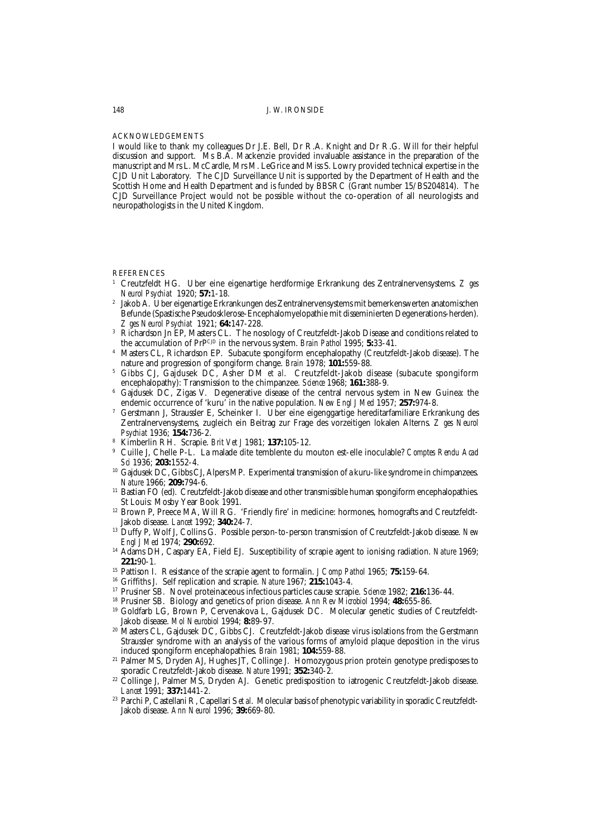### ACKNOWLEDGEMENTS

I would like to thank my colleagues Dr J.E. Bell, Dr R.A. Knight and Dr R.G. Will for their helpful discussion and support. Ms B.A. Mackenzie provided invaluable assistance in the preparation of the manuscript and Mrs L. McCardle, Mrs M. LeGrice and Miss S. Lowry provided technical expertise in the CJD Unit Laboratory. The CJD Surveillance Unit is supported by the Department of Health and the Scottish Home and Health Department and is funded by BBSRC (Grant number 15/BS204814). The CJD Surveillance Project would not be possible without the co-operation of all neurologists and neuropathologists in the United Kingdom.

#### **REFERENCES**

- <sup>1</sup> Creutzfeldt HG. Uber eine eigenartige herdformige Erkrankung des Zentralnervensystems. *Z ges Neurol Psychiat* 1920; **57:**1-18.
- <sup>2</sup> Jakob A. Uber eigenartige Erkrankungen des Zentralnervensystems mit bemerkenswerten anatomischen Befunde (Spastische Pseudosklerose-Encephalomyelopathie mit disseminierten Degenerations-herden). *Z ges Neurol Psychiat* 1921; **64:**147-228.
- <sup>3</sup> Richardson Jn EP, Masters CL. The nosology of Creutzfeldt-Jakob Disease and conditions related to the accumulation of PrPCID in the nervous system. *Brain Pathol* 1995: 5:33-41.
- <sup>4</sup> Masters CL, Richardson EP. Subacute spongiform encephalopathy (Creutzfeldt-Jakob disease). The nature and progression of spongiform change. *Brain* 1978; **101:**559-88.
- <sup>5</sup> Gibbs CJ, Gajdusek DC, Asher DM *et al*. Creutzfeldt-Jakob disease (subacute spongiform encephalopathy): Transmission to the chimpanzee. *Science* 1968; **161:**388-9.
- <sup>6</sup> Gajdusek DC, Zigas V. Degenerative disease of the central nervous system in New Guinea: the endemic occurrence of 'kuru' in the native population. *New Engl J Med* 1957; **257:**974-8.
- <sup>7</sup> Gerstmann J, Straussler E, Scheinker I. Uber eine eigenggartige hereditarfamiliare Erkrankung des Zentralnervensystems, zugleich ein Beitrag zur Frage des vorzeitigen lokalen Alterns. *Z ges Neurol Psychiat* 1936; **154:**736-2.
- <sup>8</sup> Kimberlin RH. Scrapie. *Brit Vet J* 1981; **137:**105-12.
- <sup>9</sup> Cuille J, Chelle P-L. La malade dite temblente du mouton est-elle inoculable? *Comptes Rendu Acad Sci* 1936; **203:**1552-4.
- <sup>10</sup> Gajdusek DC, Gibbs CJ, Alpers MP. Experimental transmission of a kuru-like syndrome in chimpanzees. *Nature* 1966; **209:**794-6.
- <sup>11</sup> Bastian FO (ed). Creutzfeldt-Jakob disease and other transmissible human spongiform encephalopathies. St Louis: Mosby Year Book 1991.
- <sup>12</sup> Brown P, Preece MA, Will RG. 'Friendly fire' in medicine: hormones, homografts and Creutzfeldt-Jakob disease. *Lancet* 1992; **340:**24-7.
- <sup>13</sup> Duffy P, Wolf J, Collins G. Possible person-to-person transmission of Creutzfeldt-Jakob disease. *New Engl J Med* 1974; **290:**692.
- <sup>14</sup> Adams DH, Caspary EA, Field EJ. Susceptibility of scrapie agent to ionising radiation. *Nature* 1969; **221:**90-1.
- <sup>15</sup> Pattison I. Resistance of the scrapie agent to formalin. *J Comp Pathol* 1965; **75:**159-64.
- <sup>16</sup> Griffiths J. Self replication and scrapie. *Nature* 1967; **215:**1043-4.
- <sup>17</sup> Prusiner SB. Novel proteinaceous infectious particles cause scrapie. *Science* 1982; **216:**136-44.
- <sup>18</sup> Prusiner SB. Biology and genetics of prion disease. *Ann Rev Microbiol* 1994; **48:**655-86.
- <sup>19</sup> Goldfarb LG, Brown P, Cervenakova L, Gajdusek DC. Molecular genetic studies of Creutzfeldt-Jakob disease. *Mol Neurobiol* 1994; **8:**89-97.
- <sup>20</sup> Masters CL, Gajdusek DC, Gibbs CJ. Creutzfeldt-Jakob disease virus isolations from the Gerstmann Straussler syndrome with an analysis of the various forms of amyloid plaque deposition in the virus induced spongiform encephalopathies. *Brain* 1981; **104:**559-88.
- <sup>21</sup> Palmer MS, Dryden AJ, Hughes JT, Collinge J. Homozygous prion protein genotype predisposes to sporadic Creutzfeldt-Jakob disease. *Nature* 1991; **352:**340-2.
- <sup>22</sup> Collinge J, Palmer MS, Dryden AJ. Genetic predisposition to iatrogenic Creutzfeldt-Jakob disease. *Lancet* 1991; **337:**1441-2.
- <sup>23</sup> Parchi P, Castellani R, Capellari S *et al*. Molecular basis of phenotypic variability in sporadic Creutzfeldt-Jakob disease. *Ann Neurol* 1996; **39:**669-80.